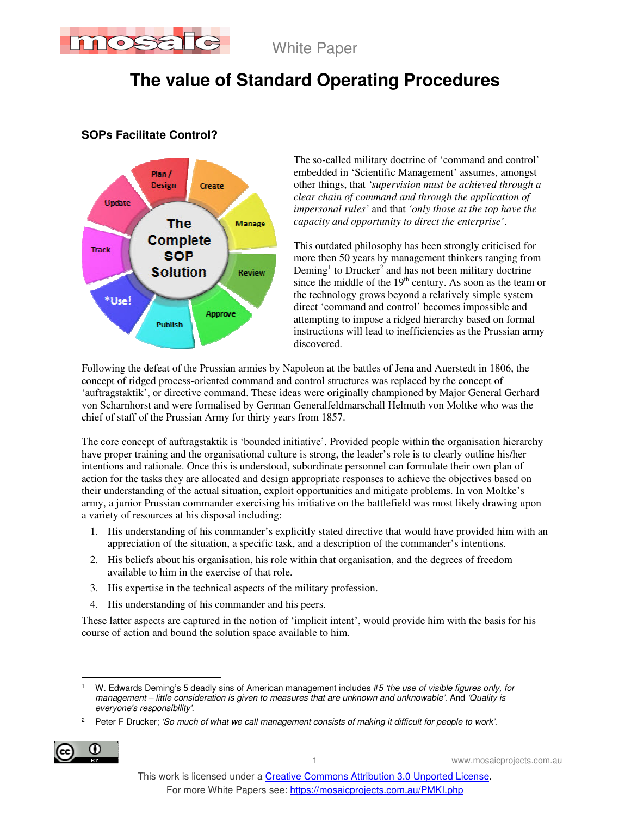

# **The value of Standard Operating Procedures**



### **SOPs Facilitate Control?**

The so-called military doctrine of 'command and control' embedded in 'Scientific Management' assumes, amongst other things, that *'supervision must be achieved through a clear chain of command and through the application of impersonal rules'* and that *'only those at the top have the capacity and opportunity to direct the enterprise'*.

This outdated philosophy has been strongly criticised for more then 50 years by management thinkers ranging from Deming<sup>1</sup> to Drucker<sup>2</sup> and has not been military doctrine since the middle of the 19<sup>th</sup> century. As soon as the team or the technology grows beyond a relatively simple system direct 'command and control' becomes impossible and attempting to impose a ridged hierarchy based on formal instructions will lead to inefficiencies as the Prussian army discovered.

Following the defeat of the Prussian armies by Napoleon at the battles of Jena and Auerstedt in 1806, the concept of ridged process-oriented command and control structures was replaced by the concept of 'auftragstaktik', or directive command. These ideas were originally championed by Major General Gerhard von Scharnhorst and were formalised by German Generalfeldmarschall Helmuth von Moltke who was the chief of staff of the Prussian Army for thirty years from 1857.

The core concept of auftragstaktik is 'bounded initiative'. Provided people within the organisation hierarchy have proper training and the organisational culture is strong, the leader's role is to clearly outline his/her intentions and rationale. Once this is understood, subordinate personnel can formulate their own plan of action for the tasks they are allocated and design appropriate responses to achieve the objectives based on their understanding of the actual situation, exploit opportunities and mitigate problems. In von Moltke's army, a junior Prussian commander exercising his initiative on the battlefield was most likely drawing upon a variety of resources at his disposal including:

- 1. His understanding of his commander's explicitly stated directive that would have provided him with an appreciation of the situation, a specific task, and a description of the commander's intentions.
- 2. His beliefs about his organisation, his role within that organisation, and the degrees of freedom available to him in the exercise of that role.
- 3. His expertise in the technical aspects of the military profession.
- 4. His understanding of his commander and his peers.

These latter aspects are captured in the notion of 'implicit intent', would provide him with the basis for his course of action and bound the solution space available to him.

<sup>2</sup> Peter F Drucker; 'So much of what we call management consists of making it difficult for people to work'.



 $\overline{a}$ 1 W. Edwards Deming's 5 deadly sins of American management includes #5 'the use of visible figures only, for management – little consideration is given to measures that are unknown and unknowable'. And 'Quality is everyone's responsibility'.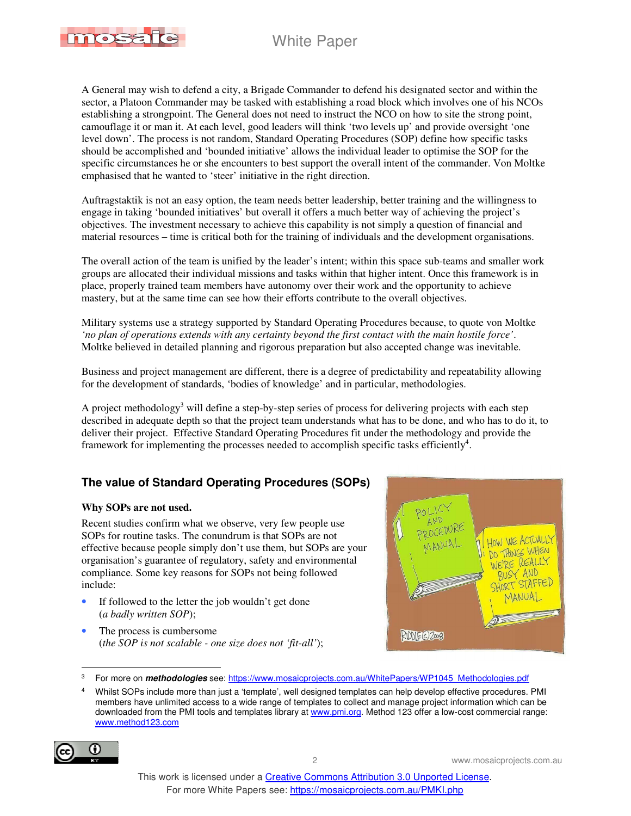

A General may wish to defend a city, a Brigade Commander to defend his designated sector and within the sector, a Platoon Commander may be tasked with establishing a road block which involves one of his NCOs establishing a strongpoint. The General does not need to instruct the NCO on how to site the strong point, camouflage it or man it. At each level, good leaders will think 'two levels up' and provide oversight 'one level down'. The process is not random, Standard Operating Procedures (SOP) define how specific tasks should be accomplished and 'bounded initiative' allows the individual leader to optimise the SOP for the specific circumstances he or she encounters to best support the overall intent of the commander. Von Moltke emphasised that he wanted to 'steer' initiative in the right direction.

Auftragstaktik is not an easy option, the team needs better leadership, better training and the willingness to engage in taking 'bounded initiatives' but overall it offers a much better way of achieving the project's objectives. The investment necessary to achieve this capability is not simply a question of financial and material resources – time is critical both for the training of individuals and the development organisations.

The overall action of the team is unified by the leader's intent; within this space sub-teams and smaller work groups are allocated their individual missions and tasks within that higher intent. Once this framework is in place, properly trained team members have autonomy over their work and the opportunity to achieve mastery, but at the same time can see how their efforts contribute to the overall objectives.

Military systems use a strategy supported by Standard Operating Procedures because, to quote von Moltke *'no plan of operations extends with any certainty beyond the first contact with the main hostile force'*. Moltke believed in detailed planning and rigorous preparation but also accepted change was inevitable.

Business and project management are different, there is a degree of predictability and repeatability allowing for the development of standards, 'bodies of knowledge' and in particular, methodologies.

A project methodology<sup>3</sup> will define a step-by-step series of process for delivering projects with each step described in adequate depth so that the project team understands what has to be done, and who has to do it, to deliver their project. Effective Standard Operating Procedures fit under the methodology and provide the framework for implementing the processes needed to accomplish specific tasks efficiently<sup>4</sup>.

### **The value of Standard Operating Procedures (SOPs)**

#### **Why SOPs are not used.**

Recent studies confirm what we observe, very few people use SOPs for routine tasks. The conundrum is that SOPs are not effective because people simply don't use them, but SOPs are your organisation's guarantee of regulatory, safety and environmental compliance. Some key reasons for SOPs not being followed include:

- If followed to the letter the job wouldn't get done (*a badly written SOP*);
- The process is cumbersome (*the SOP is not scalable - one size does not 'fit-all'*);



 $\overline{a}$ 3 For more on **methodologies** see: https://www.mosaicprojects.com.au/WhitePapers/WP1045\_Methodologies.pdf

<sup>4</sup> Whilst SOPs include more than just a 'template', well designed templates can help develop effective procedures. PMI members have unlimited access to a wide range of templates to collect and manage project information which can be downloaded from the PMI tools and templates library at www.pmi.org. Method 123 offer a low-cost commercial range: www.method123.com

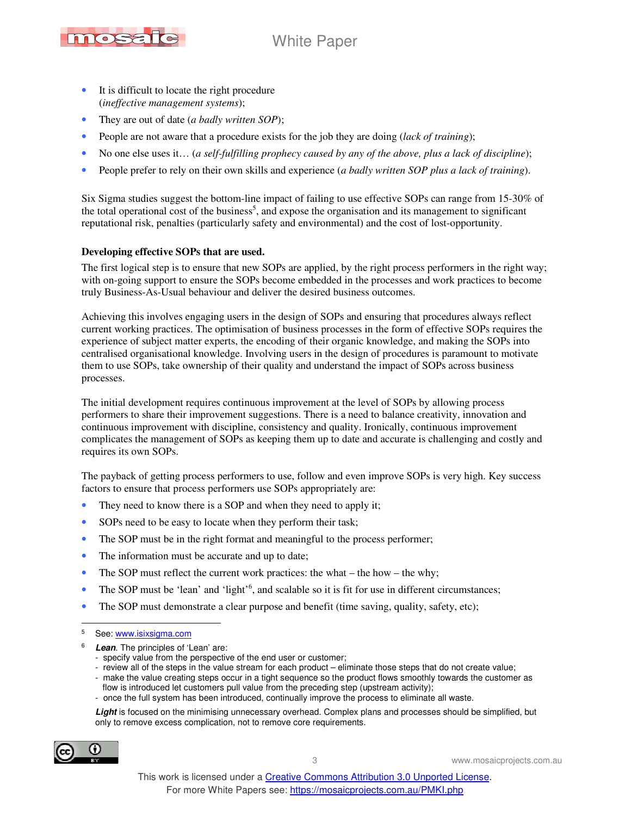

- It is difficult to locate the right procedure (*ineffective management systems*);
- They are out of date (*a badly written SOP*);
- People are not aware that a procedure exists for the job they are doing (*lack of training*);
- No one else uses it… (*a self-fulfilling prophecy caused by any of the above, plus a lack of discipline*);
- People prefer to rely on their own skills and experience (*a badly written SOP plus a lack of training*).

Six Sigma studies suggest the bottom-line impact of failing to use effective SOPs can range from 15-30% of the total operational cost of the business<sup>5</sup>, and expose the organisation and its management to significant reputational risk, penalties (particularly safety and environmental) and the cost of lost-opportunity.

#### **Developing effective SOPs that are used.**

The first logical step is to ensure that new SOPs are applied, by the right process performers in the right way; with on-going support to ensure the SOPs become embedded in the processes and work practices to become truly Business-As-Usual behaviour and deliver the desired business outcomes.

Achieving this involves engaging users in the design of SOPs and ensuring that procedures always reflect current working practices. The optimisation of business processes in the form of effective SOPs requires the experience of subject matter experts, the encoding of their organic knowledge, and making the SOPs into centralised organisational knowledge. Involving users in the design of procedures is paramount to motivate them to use SOPs, take ownership of their quality and understand the impact of SOPs across business processes.

The initial development requires continuous improvement at the level of SOPs by allowing process performers to share their improvement suggestions. There is a need to balance creativity, innovation and continuous improvement with discipline, consistency and quality. Ironically, continuous improvement complicates the management of SOPs as keeping them up to date and accurate is challenging and costly and requires its own SOPs.

The payback of getting process performers to use, follow and even improve SOPs is very high. Key success factors to ensure that process performers use SOPs appropriately are:

- They need to know there is a SOP and when they need to apply it;
- SOPs need to be easy to locate when they perform their task;
- The SOP must be in the right format and meaningful to the process performer;
- The information must be accurate and up to date;
- The SOP must reflect the current work practices: the what the how the why;
- The SOP must be 'lean' and 'light'<sup>6</sup>, and scalable so it is fit for use in different circumstances;
- The SOP must demonstrate a clear purpose and benefit (time saving, quality, safety, etc);

- 6 **Lean**. The principles of 'Lean' are:
	- specify value from the perspective of the end user or customer;
	- review all of the steps in the value stream for each product eliminate those steps that do not create value;
	- make the value creating steps occur in a tight sequence so the product flows smoothly towards the customer as flow is introduced let customers pull value from the preceding step (upstream activity);
	- once the full system has been introduced, continually improve the process to eliminate all waste.

**Light** is focused on the minimising unnecessary overhead. Complex plans and processes should be simplified, but only to remove excess complication, not to remove core requirements.



<sup>-&</sup>lt;br>5 See: www.isixsigma.com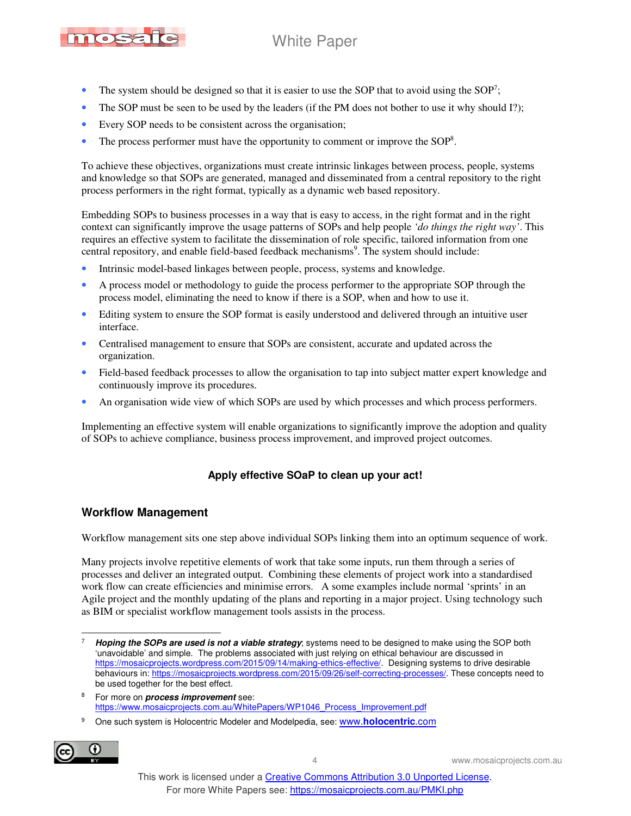

- The system should be designed so that it is easier to use the SOP that to avoid using the SOP<sup>7</sup>;
- The SOP must be seen to be used by the leaders (if the PM does not bother to use it why should I?);
- Every SOP needs to be consistent across the organisation;
- The process performer must have the opportunity to comment or improve the SOP<sup>8</sup>.

To achieve these objectives, organizations must create intrinsic linkages between process, people, systems and knowledge so that SOPs are generated, managed and disseminated from a central repository to the right process performers in the right format, typically as a dynamic web based repository.

Embedding SOPs to business processes in a way that is easy to access, in the right format and in the right context can significantly improve the usage patterns of SOPs and help people *'do things the right way'*. This requires an effective system to facilitate the dissemination of role specific, tailored information from one central repository, and enable field-based feedback mechanisms<sup>9</sup>. The system should include:

- Intrinsic model-based linkages between people, process, systems and knowledge.
- A process model or methodology to guide the process performer to the appropriate SOP through the process model, eliminating the need to know if there is a SOP, when and how to use it.
- Editing system to ensure the SOP format is easily understood and delivered through an intuitive user interface.
- Centralised management to ensure that SOPs are consistent, accurate and updated across the organization.
- Field-based feedback processes to allow the organisation to tap into subject matter expert knowledge and continuously improve its procedures.
- An organisation wide view of which SOPs are used by which processes and which process performers.

Implementing an effective system will enable organizations to significantly improve the adoption and quality of SOPs to achieve compliance, business process improvement, and improved project outcomes.

### **Apply effective SOaP to clean up your act!**

### **Workflow Management**

Workflow management sits one step above individual SOPs linking them into an optimum sequence of work.

Many projects involve repetitive elements of work that take some inputs, run them through a series of processes and deliver an integrated output. Combining these elements of project work into a standardised work flow can create efficiencies and minimise errors. A some examples include normal 'sprints' in an Agile project and the monthly updating of the plans and reporting in a major project. Using technology such as BIM or specialist workflow management tools assists in the process.

<sup>9</sup> One such system is Holocentric Modeler and Modelpedia, see: www.**holocentric**.com



 $\overline{a}$ 7 **Hoping the SOPs are used is not a viable strategy**; systems need to be designed to make using the SOP both 'unavoidable' and simple. The problems associated with just relying on ethical behaviour are discussed in https://mosaicprojects.wordpress.com/2015/09/14/making-ethics-effective/. Designing systems to drive desirable behaviours in: https://mosaicprojects.wordpress.com/2015/09/26/self-correcting-processes/. These concepts need to be used together for the best effect.

<sup>8</sup> For more on **process improvement** see: https://www.mosaicprojects.com.au/WhitePapers/WP1046\_Process\_Improvement.pdf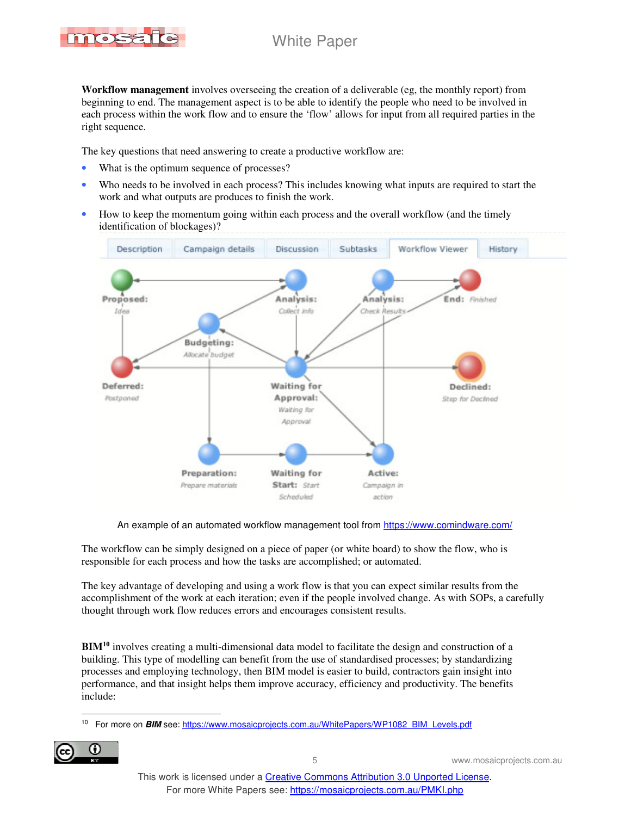

**Workflow management** involves overseeing the creation of a deliverable (eg, the monthly report) from beginning to end. The management aspect is to be able to identify the people who need to be involved in each process within the work flow and to ensure the 'flow' allows for input from all required parties in the right sequence.

The key questions that need answering to create a productive workflow are:

- What is the optimum sequence of processes?
- Who needs to be involved in each process? This includes knowing what inputs are required to start the work and what outputs are produces to finish the work.
- How to keep the momentum going within each process and the overall workflow (and the timely identification of blockages)?



An example of an automated workflow management tool from https://www.comindware.com/

The workflow can be simply designed on a piece of paper (or white board) to show the flow, who is responsible for each process and how the tasks are accomplished; or automated.

The key advantage of developing and using a work flow is that you can expect similar results from the accomplishment of the work at each iteration; even if the people involved change. As with SOPs, a carefully thought through work flow reduces errors and encourages consistent results.

**BIM<sup>10</sup>** involves creating a multi-dimensional data model to facilitate the design and construction of a building. This type of modelling can benefit from the use of standardised processes; by standardizing processes and employing technology, then BIM model is easier to build, contractors gain insight into performance, and that insight helps them improve accuracy, efficiency and productivity. The benefits include:

 $\overline{a}$ <sup>10</sup> For more on **BIM** see: https://www.mosaicprojects.com.au/WhitePapers/WP1082\_BIM\_Levels.pdf